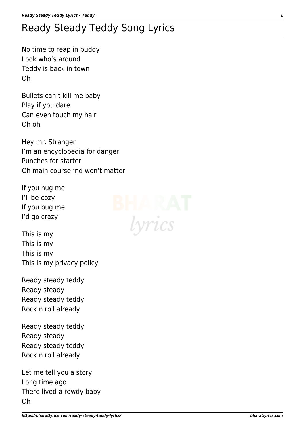## Ready Steady Teddy Song Lyrics

No time to reap in buddy Look who's around Teddy is back in town Oh

Bullets can't kill me baby Play if you dare Can even touch my hair Oh oh

Hey mr. Stranger I'm an encyclopedia for danger Punches for starter Oh main course 'nd won't matter

If you hug me I'll be cozy If you bug me I'd go crazy

This is my This is my This is my This is my privacy policy

Ready steady teddy Ready steady Ready steady teddy Rock n roll already

Ready steady teddy Ready steady Ready steady teddy Rock n roll already

Let me tell you a story Long time ago There lived a rowdy baby Oh